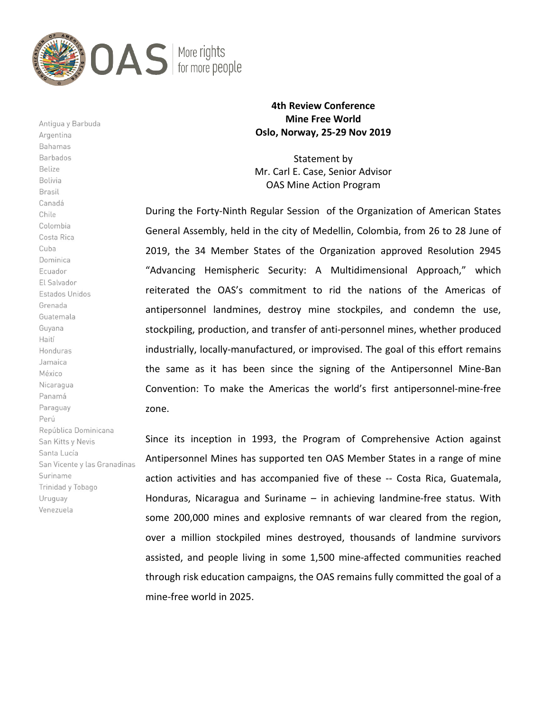

Antigua y Barbuda Argentina Bahamas Barbados Belize Bolivia Brasil Canadá Chile Colombia Costa Rica Cuba Dominica Ecuador El Salvador Estados Unidos Grenada Guatemala Guyana Haití Honduras Jamaica México Nicaragua Panamá Paraguay Perú República Dominicana San Kitts y Nevis Santa Lucía San Vicente y las Granadinas Suriname Trinidad y Tobago Uruguay Venezuela

## 4th Review Conference Mine Free World Oslo, Norway, 25-29 Nov 2019

Statement by Mr. Carl E. Case, Senior Advisor OAS Mine Action Program

During the Forty-Ninth Regular Session of the Organization of American States General Assembly, held in the city of Medellin, Colombia, from 26 to 28 June of 2019, the 34 Member States of the Organization approved Resolution 2945 "Advancing Hemispheric Security: A Multidimensional Approach," which reiterated the OAS's commitment to rid the nations of the Americas of antipersonnel landmines, destroy mine stockpiles, and condemn the use, stockpiling, production, and transfer of anti-personnel mines, whether produced industrially, locally-manufactured, or improvised. The goal of this effort remains the same as it has been since the signing of the Antipersonnel Mine-Ban Convention: To make the Americas the world's first antipersonnel-mine-free zone.

Since its inception in 1993, the Program of Comprehensive Action against Antipersonnel Mines has supported ten OAS Member States in a range of mine action activities and has accompanied five of these -- Costa Rica, Guatemala, Honduras, Nicaragua and Suriname – in achieving landmine-free status. With some 200,000 mines and explosive remnants of war cleared from the region, over a million stockpiled mines destroyed, thousands of landmine survivors assisted, and people living in some 1,500 mine-affected communities reached through risk education campaigns, the OAS remains fully committed the goal of a mine-free world in 2025.